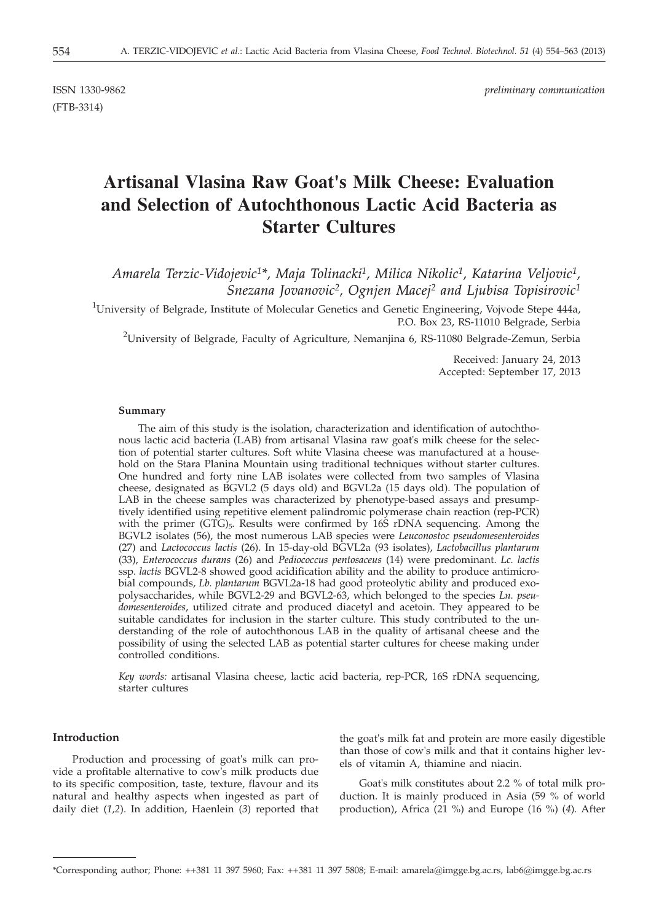(FTB-3314)

ISSN 1330-9862 *preliminary communication*

# **Artisanal Vlasina Raw Goat's Milk Cheese: Evaluation and Selection of Autochthonous Lactic Acid Bacteria as Starter Cultures**

*Amarela Terzic-Vidojevic1\*, Maja Tolinacki1, Milica Nikolic1, Katarina Veljovic1, Snezana Jovanovic2, Ognjen Macej2 and Ljubisa Topisirovic1*

<sup>1</sup>University of Belgrade, Institute of Molecular Genetics and Genetic Engineering, Vojvode Stepe 444a, P.O. Box 23, RS-11010 Belgrade, Serbia

 $^2$ University of Belgrade, Faculty of Agriculture, Nemanjina 6, RS-11080 Belgrade-Zemun, Serbia

Received: January 24, 2013 Accepted: September 17, 2013

#### **Summary**

The aim of this study is the isolation, characterization and identification of autochthonous lactic acid bacteria (LAB) from artisanal Vlasina raw goat's milk cheese for the selection of potential starter cultures. Soft white Vlasina cheese was manufactured at a household on the Stara Planina Mountain using traditional techniques without starter cultures. One hundred and forty nine LAB isolates were collected from two samples of Vlasina cheese, designated as BGVL2 (5 days old) and BGVL2a (15 days old). The population of LAB in the cheese samples was characterized by phenotype-based assays and presumptively identified using repetitive element palindromic polymerase chain reaction (rep-PCR) with the primer  $(GTG)_5$ . Results were confirmed by 16S rDNA sequencing. Among the BGVL2 isolates (56), the most numerous LAB species were *Leuconostoc pseudomesenteroides* (27) and *Lactococcus lactis* (26). In 15-day-old BGVL2a (93 isolates), *Lactobacillus plantarum* (33), *Enterococcus durans* (26) and *Pediococcus pentosaceus* (14) were predominant. *Lc. lactis* ssp. *lactis* BGVL2-8 showed good acidification ability and the ability to produce antimicrobial compounds, *Lb. plantarum* BGVL2a-18 had good proteolytic ability and produced exopolysaccharides, while BGVL2-29 and BGVL2-63, which belonged to the species *Ln. pseudomesenteroides*, utilized citrate and produced diacetyl and acetoin. They appeared to be suitable candidates for inclusion in the starter culture. This study contributed to the understanding of the role of autochthonous LAB in the quality of artisanal cheese and the possibility of using the selected LAB as potential starter cultures for cheese making under controlled conditions.

*Key words:* artisanal Vlasina cheese, lactic acid bacteria, rep-PCR, 16S rDNA sequencing, starter cultures

# **Introduction**

Production and processing of goat's milk can provide a profitable alternative to cow's milk products due to its specific composition, taste, texture, flavour and its natural and healthy aspects when ingested as part of daily diet (*1,2*). In addition, Haenlein (*3*) reported that

the goat's milk fat and protein are more easily digestible than those of cow's milk and that it contains higher levels of vitamin A, thiamine and niacin.

Goat's milk constitutes about 2.2 % of total milk production. It is mainly produced in Asia (59 % of world production), Africa (21 %) and Europe (16 %) (*4*)*.* After

\*Corresponding author; Phone: ++381 11 397 5960; Fax: ++381 11 397 5808; E-mail: amarela@imgge.bg.ac.rs, lab6@imgge.bg.ac.rs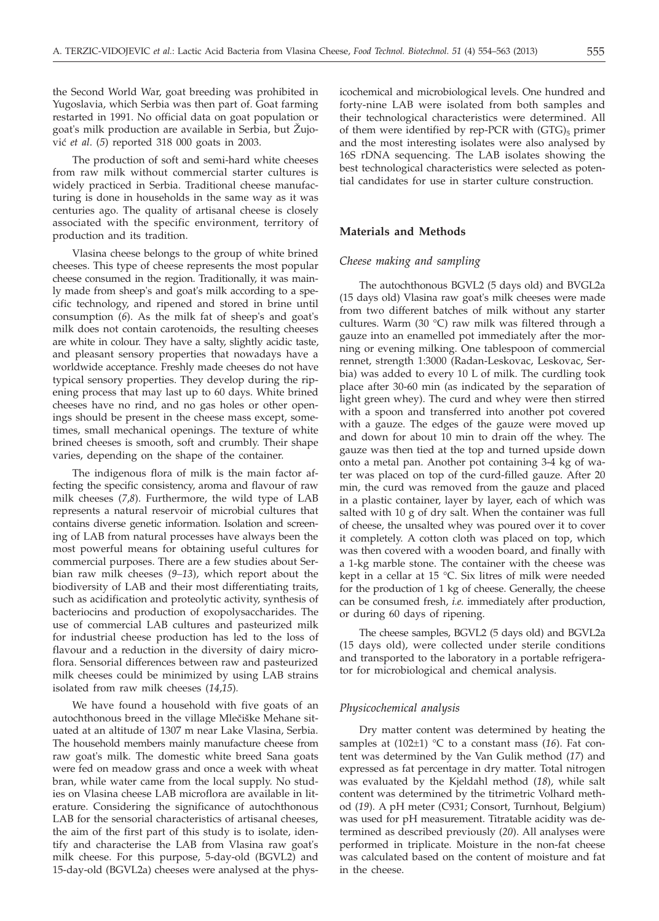the Second World War, goat breeding was prohibited in Yugoslavia, which Serbia was then part of. Goat farming restarted in 1991. No official data on goat population or goat's milk production are available in Serbia, but Žujovi} *et al*. (*5*) reported 318 000 goats in 2003.

The production of soft and semi-hard white cheeses from raw milk without commercial starter cultures is widely practiced in Serbia. Traditional cheese manufacturing is done in households in the same way as it was centuries ago. The quality of artisanal cheese is closely associated with the specific environment, territory of production and its tradition.

Vlasina cheese belongs to the group of white brined cheeses. This type of cheese represents the most popular cheese consumed in the region. Traditionally, it was mainly made from sheep's and goat's milk according to a specific technology, and ripened and stored in brine until consumption (*6*). As the milk fat of sheep's and goat's milk does not contain carotenoids, the resulting cheeses are white in colour. They have a salty, slightly acidic taste, and pleasant sensory properties that nowadays have a worldwide acceptance. Freshly made cheeses do not have typical sensory properties. They develop during the ripening process that may last up to 60 days. White brined cheeses have no rind, and no gas holes or other openings should be present in the cheese mass except, sometimes, small mechanical openings. The texture of white brined cheeses is smooth, soft and crumbly. Their shape varies, depending on the shape of the container.

The indigenous flora of milk is the main factor affecting the specific consistency, aroma and flavour of raw milk cheeses (*7*,*8*). Furthermore, the wild type of LAB represents a natural reservoir of microbial cultures that contains diverse genetic information. Isolation and screening of LAB from natural processes have always been the most powerful means for obtaining useful cultures for commercial purposes. There are a few studies about Serbian raw milk cheeses (*9–13*), which report about the biodiversity of LAB and their most differentiating traits, such as acidification and proteolytic activity, synthesis of bacteriocins and production of exopolysaccharides. The use of commercial LAB cultures and pasteurized milk for industrial cheese production has led to the loss of flavour and a reduction in the diversity of dairy microflora. Sensorial differences between raw and pasteurized milk cheeses could be minimized by using LAB strains isolated from raw milk cheeses (*14*,*15*)*.*

We have found a household with five goats of an autochthonous breed in the village Mlečiške Mehane situated at an altitude of 1307 m near Lake Vlasina, Serbia. The household members mainly manufacture cheese from raw goat's milk. The domestic white breed Sana goats were fed on meadow grass and once a week with wheat bran, while water came from the local supply. No studies on Vlasina cheese LAB microflora are available in literature. Considering the significance of autochthonous LAB for the sensorial characteristics of artisanal cheeses, the aim of the first part of this study is to isolate, identify and characterise the LAB from Vlasina raw goat's milk cheese. For this purpose, 5-day-old (BGVL2) and 15-day-old (BGVL2a) cheeses were analysed at the physicochemical and microbiological levels. One hundred and forty-nine LAB were isolated from both samples and their technological characteristics were determined. All of them were identified by rep-PCR with  $(GTG)_5$  primer and the most interesting isolates were also analysed by 16S rDNA sequencing. The LAB isolates showing the best technological characteristics were selected as potential candidates for use in starter culture construction.

# **Materials and Methods**

# *Cheese making and sampling*

The autochthonous BGVL2 (5 days old) and BVGL2a (15 days old) Vlasina raw goat's milk cheeses were made from two different batches of milk without any starter cultures. Warm (30 °C) raw milk was filtered through a gauze into an enamelled pot immediately after the morning or evening milking. One tablespoon of commercial rennet, strength 1:3000 (Radan-Leskovac, Leskovac, Serbia) was added to every 10 L of milk. The curdling took place after 30-60 min (as indicated by the separation of light green whey). The curd and whey were then stirred with a spoon and transferred into another pot covered with a gauze. The edges of the gauze were moved up and down for about 10 min to drain off the whey. The gauze was then tied at the top and turned upside down onto a metal pan. Another pot containing 3-4 kg of water was placed on top of the curd-filled gauze. After 20 min, the curd was removed from the gauze and placed in a plastic container, layer by layer, each of which was salted with 10 g of dry salt. When the container was full of cheese, the unsalted whey was poured over it to cover it completely. A cotton cloth was placed on top, which was then covered with a wooden board, and finally with a 1-kg marble stone. The container with the cheese was kept in a cellar at 15 °C. Six litres of milk were needed for the production of 1 kg of cheese. Generally, the cheese can be consumed fresh, *i.e.* immediately after production, or during 60 days of ripening.

The cheese samples, BGVL2 (5 days old) and BGVL2a (15 days old), were collected under sterile conditions and transported to the laboratory in a portable refrigerator for microbiological and chemical analysis.

#### *Physicochemical analysis*

Dry matter content was determined by heating the samples at (102±1) °C to a constant mass (*16*). Fat content was determined by the Van Gulik method (*17*) and expressed as fat percentage in dry matter. Total nitrogen was evaluated by the Kjeldahl method (*18*), while salt content was determined by the titrimetric Volhard method (*19*). A pH meter (C931; Consort, Turnhout, Belgium) was used for pH measurement. Titratable acidity was determined as described previously (*20*). All analyses were performed in triplicate. Moisture in the non-fat cheese was calculated based on the content of moisture and fat in the cheese.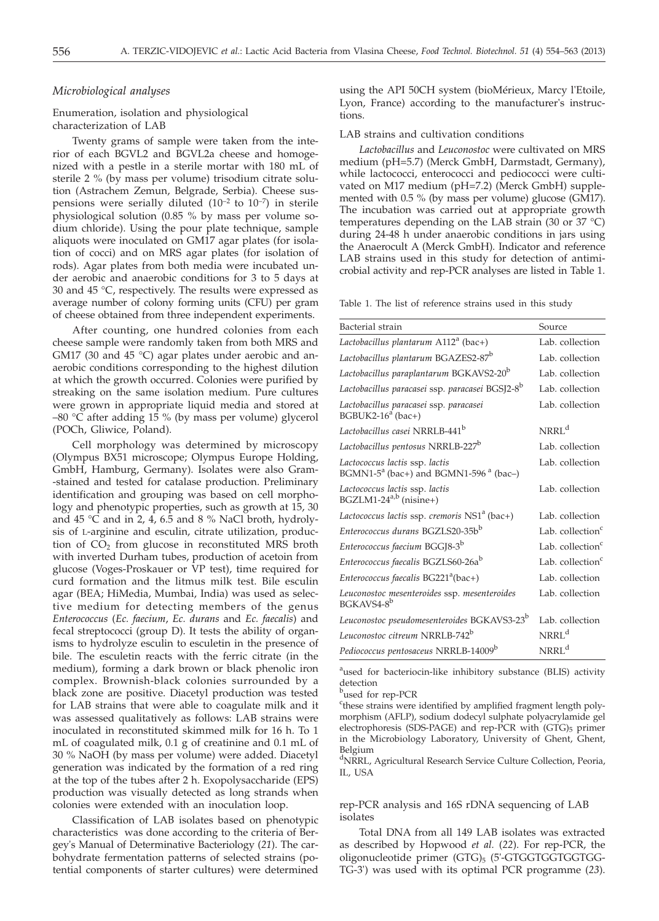## *Microbiological analyses*

## Enumeration, isolation and physiological characterization of LAB

Twenty grams of sample were taken from the interior of each BGVL2 and BGVL2a cheese and homogenized with a pestle in a sterile mortar with 180 mL of sterile 2 % (by mass per volume) trisodium citrate solution (Astrachem Zemun, Belgrade, Serbia). Cheese suspensions were serially diluted  $(10^{-2}$  to  $10^{-7})$  in sterile physiological solution (0.85 % by mass per volume sodium chloride). Using the pour plate technique, sample aliquots were inoculated on GM17 agar plates (for isolation of cocci) and on MRS agar plates (for isolation of rods). Agar plates from both media were incubated under aerobic and anaerobic conditions for 3 to 5 days at 30 and 45 °C, respectively. The results were expressed as average number of colony forming units (CFU) per gram of cheese obtained from three independent experiments.

After counting, one hundred colonies from each cheese sample were randomly taken from both MRS and GM17 (30 and 45 °C) agar plates under aerobic and anaerobic conditions corresponding to the highest dilution at which the growth occurred. Colonies were purified by streaking on the same isolation medium. Pure cultures were grown in appropriate liquid media and stored at –80 °C after adding 15 % (by mass per volume) glycerol (POCh, Gliwice, Poland).

Cell morphology was determined by microscopy (Olympus BX51 microscope; Olympus Europe Holding, GmbH, Hamburg, Germany). Isolates were also Gram- -stained and tested for catalase production. Preliminary identification and grouping was based on cell morphology and phenotypic properties, such as growth at 15, 30 and 45 °C and in 2, 4, 6.5 and 8 % NaCl broth, hydrolysis of L-arginine and esculin, citrate utilization, production of  $CO<sub>2</sub>$  from glucose in reconstituted MRS broth with inverted Durham tubes, production of acetoin from glucose (Voges-Proskauer or  $\overline{VP}$  test), time required for curd formation and the litmus milk test. Bile esculin agar (BEA; HiMedia, Mumbai, India) was used as selective medium for detecting members of the genus *Enterococcus* (*Ec. faecium*, *Ec. durans* and *Ec. faecalis*) and fecal streptococci (group D). It tests the ability of organisms to hydrolyze esculin to esculetin in the presence of bile. The esculetin reacts with the ferric citrate (in the medium), forming a dark brown or black phenolic iron complex. Brownish-black colonies surrounded by a black zone are positive. Diacetyl production was tested for LAB strains that were able to coagulate milk and it was assessed qualitatively as follows: LAB strains were inoculated in reconstituted skimmed milk for 16 h. To 1 mL of coagulated milk, 0.1 g of creatinine and 0.1 mL of 30 % NaOH (by mass per volume) were added. Diacetyl generation was indicated by the formation of a red ring at the top of the tubes after 2 h. Exopolysaccharide (EPS) production was visually detected as long strands when colonies were extended with an inoculation loop.

Classification of LAB isolates based on phenotypic characteristics was done according to the criteria of Bergey's Manual of Determinative Bacteriology (*21*). The carbohydrate fermentation patterns of selected strains (potential components of starter cultures) were determined

using the API 50CH system (bioMérieux, Marcy l'Etoile, Lyon, France) according to the manufacturer's instructions.

#### LAB strains and cultivation conditions

*Lactobacillus* and *Leuconostoc* were cultivated on MRS medium (pH=5.7) (Merck GmbH, Darmstadt, Germany), while lactococci, enterococci and pediococci were cultivated on M17 medium (pH=7.2) (Merck GmbH) supplemented with 0.5 % (by mass per volume) glucose (GM17). The incubation was carried out at appropriate growth temperatures depending on the LAB strain (30 or 37  $^{\circ}$ C) during 24-48 h under anaerobic conditions in jars using the Anaerocult A (Merck GmbH). Indicator and reference LAB strains used in this study for detection of antimicrobial activity and rep-PCR analyses are listed in Table 1.

Table 1. The list of reference strains used in this study

| Bacterial strain                                                                                | Source                       |
|-------------------------------------------------------------------------------------------------|------------------------------|
| Lactobacillus plantarum $A112^a$ (bac+)                                                         | Lab. collection              |
| Lactobacillus plantarum BGAZES2-87 <sup>b</sup>                                                 | Lab. collection              |
| Lactobacillus paraplantarum BGKAVS2-20 <sup>b</sup>                                             | Lab. collection              |
| Lactobacillus paracasei ssp. paracasei BGSJ2-8 <sup>b</sup>                                     | Lab. collection              |
| Lactobacillus paracasei ssp. paracasei<br>BGBUK2-16 $a$ (bac+)                                  | Lab. collection              |
| Lactobacillus casei NRRLB-441 <sup>b</sup>                                                      | $NRRL^d$                     |
| Lactobacillus pentosus NRRLB-227 <sup>b</sup>                                                   | Lab. collection              |
| Lactococcus lactis ssp. lactis<br>BGMN1-5 <sup>a</sup> (bac+) and BGMN1-596 <sup>a</sup> (bac-) | Lab. collection              |
| Lactococcus lactis ssp. lactis<br>BGZLM1-24 <sup>a,b</sup> (nisine+)                            | Lab. collection              |
| Lactococcus lactis ssp. cremoris NS1 <sup>a</sup> (bac+)                                        | Lab. collection              |
| Enterococcus durans BGZLS20-35bb                                                                | Lab. collection <sup>c</sup> |
| Enterococcus faecium BGGJ8-3 <sup>b</sup>                                                       | Lab. collection <sup>c</sup> |
| Enterococcus faecalis BGZLS60-26ab                                                              | Lab. collection <sup>c</sup> |
| Enterococcus faecalis BG221 <sup>a</sup> (bac+)                                                 | Lab. collection              |
| Leuconostoc mesenteroides ssp. mesenteroides<br>BGKAVS4-8 <sup>b</sup>                          | Lab. collection              |
| Leuconostoc pseudomesenteroides BGKAVS3-23 <sup>b</sup>                                         | Lab. collection              |
| Leuconostoc citreum NRRLB-742 <sup>b</sup>                                                      | NRRL <sup>d</sup>            |
| Pediococcus pentosaceus NRRLB-14009 <sup>b</sup>                                                | NRRL <sup>d</sup>            |

<sup>a</sup>used for bacteriocin-like inhibitory substance (BLIS) activity detection

<sup>b</sup>used for rep-PCR

<sup>c</sup>these strains were identified by amplified fragment length polymorphism (AFLP), sodium dodecyl sulphate polyacrylamide gel electrophoresis (SDS-PAGE) and rep-PCR with (GTG)<sub>5</sub> primer in the Microbiology Laboratory, University of Ghent, Ghent, Belgium

<sup>d</sup>NRRL, Agricultural Research Service Culture Collection, Peoria, IL, USA

rep-PCR analysis and 16S rDNA sequencing of LAB isolates

Total DNA from all 149 LAB isolates was extracted as described by Hopwood *et al.* (*22*). For rep-PCR, the oligonucleotide primer (GTG)<sub>5</sub> (5'-GTGGTGGTGGTGG-TG-3') was used with its optimal PCR programme (*23*).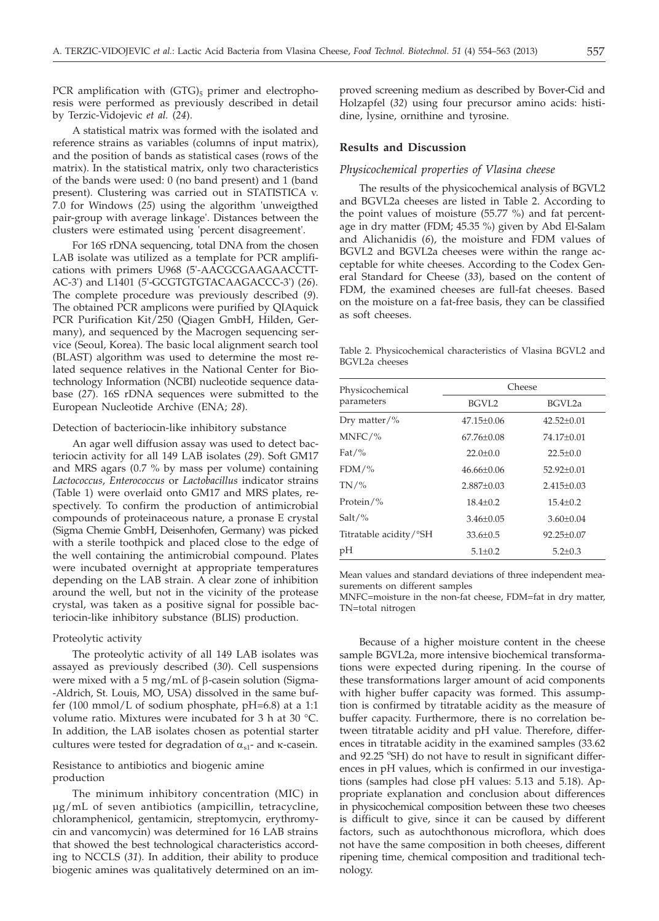PCR amplification with  $(GTG)_5$  primer and electrophoresis were performed as previously described in detail by Terzic-Vidojevic *et al.* (*24*).

A statistical matrix was formed with the isolated and reference strains as variables (columns of input matrix), and the position of bands as statistical cases (rows of the matrix). In the statistical matrix, only two characteristics of the bands were used: 0 (no band present) and 1 (band present). Clustering was carried out in STATISTICA v. 7.0 for Windows (*25*) using the algorithm 'unweigthed pair-group with average linkage'. Distances between the clusters were estimated using 'percent disagreement'.

For 16S rDNA sequencing, total DNA from the chosen LAB isolate was utilized as a template for PCR amplifications with primers U968 (5'-AACGCGAAGAACCTT-AC-3') and L1401 (5'-GCGTGTGTACAAGACCC-3') (*26*). The complete procedure was previously described (*9*). The obtained PCR amplicons were purified by QIAquick PCR Purification Kit/250 (Qiagen GmbH, Hilden, Germany), and sequenced by the Macrogen sequencing service (Seoul, Korea). The basic local alignment search tool (BLAST) algorithm was used to determine the most related sequence relatives in the National Center for Biotechnology Information (NCBI) nucleotide sequence database (*27*). 16S rDNA sequences were submitted to the European Nucleotide Archive (ENA; *28*).

#### Detection of bacteriocin-like inhibitory substance

An agar well diffusion assay was used to detect bacteriocin activity for all 149 LAB isolates (*29*). Soft GM17 and MRS agars (0.7 % by mass per volume) containing *Lactococcus*, *Enterococcus* or *Lactobacillus* indicator strains (Table 1) were overlaid onto GM17 and MRS plates, respectively. To confirm the production of antimicrobial compounds of proteinaceous nature, a pronase E crystal (Sigma Chemie GmbH, Deisenhofen, Germany) was picked with a sterile toothpick and placed close to the edge of the well containing the antimicrobial compound. Plates were incubated overnight at appropriate temperatures depending on the LAB strain. A clear zone of inhibition around the well, but not in the vicinity of the protease crystal, was taken as a positive signal for possible bacteriocin-like inhibitory substance (BLIS) production.

#### Proteolytic activity

The proteolytic activity of all 149 LAB isolates was assayed as previously described (*30*). Cell suspensions were mixed with a  $5 \text{ mg/mL}$  of  $\beta$ -casein solution (Sigma--Aldrich, St. Louis, MO, USA) dissolved in the same buffer (100 mmol/L of sodium phosphate, pH=6.8) at a 1:1 volume ratio. Mixtures were incubated for 3 h at 30 °C. In addition, the LAB isolates chosen as potential starter cultures were tested for degradation of  $\alpha_{s1}$ - and  $\kappa$ -casein.

# Resistance to antibiotics and biogenic amine production

The minimum inhibitory concentration (MIC) in µg/mL of seven antibiotics (ampicillin, tetracycline, chloramphenicol, gentamicin, streptomycin, erythromycin and vancomycin) was determined for 16 LAB strains that showed the best technological characteristics according to NCCLS (*31*). In addition, their ability to produce biogenic amines was qualitatively determined on an improved screening medium as described by Bover-Cid and Holzapfel (*32*) using four precursor amino acids: histidine, lysine, ornithine and tyrosine.

#### **Results and Discussion**

## *Physicochemical properties of Vlasina cheese*

The results of the physicochemical analysis of BGVL2 and BGVL2a cheeses are listed in Table 2. According to the point values of moisture (55.77 %) and fat percentage in dry matter (FDM; 45.35 %) given by Abd El-Salam and Alichanidis (*6*), the moisture and FDM values of BGVL2 and BGVL2a cheeses were within the range acceptable for white cheeses. According to the Codex General Standard for Cheese (*33*), based on the content of FDM, the examined cheeses are full-fat cheeses. Based on the moisture on a fat-free basis, they can be classified as soft cheeses.

Table 2. Physicochemical characteristics of Vlasina BGVL2 and BGVL2a cheeses

| Physicochemical        | Cheese           |                  |  |  |  |
|------------------------|------------------|------------------|--|--|--|
| parameters             | BGVL2            | BGVL2a           |  |  |  |
| Dry matter/%           | $47.15 \pm 0.06$ | $42.52 \pm 0.01$ |  |  |  |
| $MNFC/$ %              | $67.76 \pm 0.08$ | 74.17±0.01       |  |  |  |
| Fat/%                  | $22.0 \pm 0.0$   | $22.5 \pm 0.0$   |  |  |  |
| $FDM/\%$               | $46.66 \pm 0.06$ | 52.92±0.01       |  |  |  |
| $TN/$ %                | $2.887 \pm 0.03$ | $2.415 \pm 0.03$ |  |  |  |
| Protein/%              | $18.4 \pm 0.2$   | $15.4 \pm 0.2$   |  |  |  |
| Salt/%                 | $3.46 \pm 0.05$  | $3.60 \pm 0.04$  |  |  |  |
| Titratable acidity/°SH | $33.6 \pm 0.5$   | $92.25 \pm 0.07$ |  |  |  |
| pН                     | $5.1 \pm 0.2$    | $5.2 \pm 0.3$    |  |  |  |
|                        |                  |                  |  |  |  |

Mean values and standard deviations of three independent measurements on different samples

MNFC=moisture in the non-fat cheese, FDM=fat in dry matter, TN=total nitrogen

Because of a higher moisture content in the cheese sample BGVL2a, more intensive biochemical transformations were expected during ripening. In the course of these transformations larger amount of acid components with higher buffer capacity was formed. This assumption is confirmed by titratable acidity as the measure of buffer capacity. Furthermore, there is no correlation between titratable acidity and pH value. Therefore, differences in titratable acidity in the examined samples (33.62 and 92.25 °SH) do not have to result in significant differences in pH values, which is confirmed in our investigations (samples had close pH values: 5.13 and 5.18). Appropriate explanation and conclusion about differences in physicochemical composition between these two cheeses is difficult to give, since it can be caused by different factors, such as autochthonous microflora, which does not have the same composition in both cheeses, different ripening time, chemical composition and traditional technology.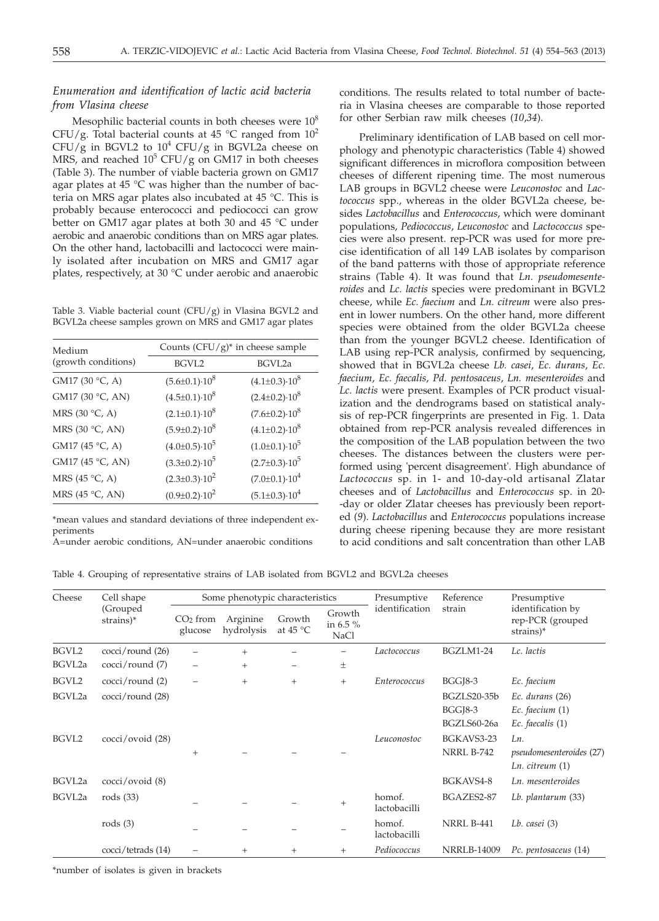# *Enumeration and identification of lactic acid bacteria from Vlasina cheese*

Mesophilic bacterial counts in both cheeses were  $10<sup>8</sup>$ CFU/g. Total bacterial counts at 45  $^{\circ}$ C ranged from 10<sup>2</sup> CFU/g in BGVL2 to  $10^4$  CFU/g in BGVL2a cheese on MRS, and reached  $10^5$  CFU/g on GM17 in both cheeses (Table 3). The number of viable bacteria grown on GM17 agar plates at 45  $\degree$ C was higher than the number of bacteria on MRS agar plates also incubated at 45 °C. This is probably because enterococci and pediococci can grow better on GM17 agar plates at both 30 and 45 °C under aerobic and anaerobic conditions than on MRS agar plates. On the other hand, lactobacilli and lactococci were mainly isolated after incubation on MRS and GM17 agar plates, respectively, at 30 °C under aerobic and anaerobic

Table 3. Viable bacterial count  $(CFU/g)$  in Vlasina BGVL2 and BGVL2a cheese samples grown on MRS and GM17 agar plates

| Medium                  | Counts $(CFU/g)^*$ in cheese sample |                            |  |  |  |
|-------------------------|-------------------------------------|----------------------------|--|--|--|
| (growth conditions)     | BGVL2                               | BGVL2a                     |  |  |  |
| GM17 (30 °C, A)         | $(5.6 \pm 0.1) \cdot 10^8$          | $(4.1\pm0.3)\cdot10^8$     |  |  |  |
| GM17 (30 °C, AN)        | $(4.5\pm0.1)\cdot10^8$              | $(2.4\pm0.2)\cdot10^8$     |  |  |  |
| MRS (30 °C, A)          | $(2.1 \pm 0.1) \cdot 10^8$          | $(7.6 \pm 0.2) \cdot 10^8$ |  |  |  |
| MRS (30 °C, AN)         | $(5.9 \pm 0.2) \cdot 10^8$          | $(4.1\pm0.2)\cdot10^8$     |  |  |  |
| GM17 (45 °C, A)         | $(4.0\pm0.5)\cdot10^5$              | $(1.0 \pm 0.1) \cdot 10^5$ |  |  |  |
| GM17 (45 °C, AN)        | $(3.3\pm0.2)\cdot10^5$              | $(2.7\pm0.3)\cdot10^5$     |  |  |  |
| MRS (45 $\degree$ C, A) | $(2.3\pm0.3)\cdot10^{2}$            | $(7.0 \pm 0.1) \cdot 10^4$ |  |  |  |
| MRS (45 $°C$ , AN)      | $(0.9 \pm 0.2) \cdot 10^2$          | $(5.1\pm0.3)\cdot10^4$     |  |  |  |

\*mean values and standard deviations of three independent experiments

A=under aerobic conditions, AN=under anaerobic conditions

conditions. The results related to total number of bacteria in Vlasina cheeses are comparable to those reported for other Serbian raw milk cheeses (*10*,*34*).

Preliminary identification of LAB based on cell morphology and phenotypic characteristics (Table 4) showed significant differences in microflora composition between cheeses of different ripening time. The most numerous LAB groups in BGVL2 cheese were *Leuconostoc* and *Lactococcus* spp., whereas in the older BGVL2a cheese, besides *Lactobacillus* and *Enterococcus*, which were dominant populations, *Pediococcus*, *Leuconostoc* and *Lactococcus* species were also present. rep-PCR was used for more precise identification of all 149 LAB isolates by comparison of the band patterns with those of appropriate reference strains (Table 4). It was found that *Ln. pseudomesenteroides* and *Lc. lactis* species were predominant in BGVL2 cheese, while *Ec. faecium* and *Ln. citreum* were also present in lower numbers. On the other hand, more different species were obtained from the older BGVL2a cheese than from the younger BGVL2 cheese. Identification of LAB using rep-PCR analysis, confirmed by sequencing, showed that in BGVL2a cheese *Lb. casei*, *Ec. durans*, *Ec. faecium*, *Ec. faecalis*, *Pd. pentosaceus*, *Ln. mesenteroides* and *Lc. lactis* were present. Examples of PCR product visualization and the dendrograms based on statistical analysis of rep-PCR fingerprints are presented in Fig. 1. Data obtained from rep-PCR analysis revealed differences in the composition of the LAB population between the two cheeses. The distances between the clusters were performed using 'percent disagreement'. High abundance of *Lactococcus* sp. in 1- and 10-day-old artisanal Zlatar cheeses and of *Lactobacillus* and *Enterococcus* sp. in 20- -day or older Zlatar cheeses has previously been reported (*9*). *Lactobacillus* and *Enterococcus* populations increase during cheese ripening because they are more resistant to acid conditions and salt concentration than other LAB

| Table 4. Grouping of representative strains of LAB isolated from BGVL2 and BGVL2a cheeses |  |  |  |  |  |  |  |
|-------------------------------------------------------------------------------------------|--|--|--|--|--|--|--|
|-------------------------------------------------------------------------------------------|--|--|--|--|--|--|--|

| Cheese             | Cell shape                   |                       | Some phenotypic characteristics |                              |                                   | Presumptive<br>identification | Reference<br>strain                          | Presumptive<br>identification by<br>rep-PCR (grouped<br>strains)* |
|--------------------|------------------------------|-----------------------|---------------------------------|------------------------------|-----------------------------------|-------------------------------|----------------------------------------------|-------------------------------------------------------------------|
|                    | (Grouped<br>strains)*        | $CO2$ from<br>glucose | Arginine<br>hydrolysis          | Growth<br>at 45 $^{\circ}$ C | Growth<br>in 6.5 %<br><b>NaCl</b> |                               |                                              |                                                                   |
| BGVL2              | cocci/round (26)             |                       | $+$                             |                              |                                   | Lactococcus                   | BGZLM1-24                                    | Lc. lactis                                                        |
| BGVL <sub>2a</sub> | $\csc i$ /round (7)          |                       | $+$                             | $\overline{\phantom{0}}$     | 土                                 |                               |                                              |                                                                   |
| BGVL2              | $\csc i$ /round (2)          |                       | $+$                             | $+$                          | $+$                               | Enterococcus                  | <b>BGGJ8-3</b>                               | Ec. faecium                                                       |
| BGVL2a             | $\csc i$ /round (28)         |                       |                                 |                              |                                   |                               | BGZLS20-35b<br><b>BGGI8-3</b><br>BGZLS60-26a | Ec. durans $(26)$<br>Ec. faecium $(1)$<br>$Ec.$ faecalis $(1)$    |
| BGVL2              | $\csc i / \text{ovoid}$ (28) | $^{+}$                |                                 |                              |                                   | Leuconostoc                   | BGKAVS3-23<br><b>NRRL B-742</b>              | Ln.<br>pseudomesenteroides (27)<br>Ln. citreum $(1)$              |
| BGVL <sub>2a</sub> | $\csc i / \text{ovoid}$ (8)  |                       |                                 |                              |                                   |                               | BGKAVS4-8                                    | Ln. mesenteroides                                                 |
| BGVL2a             | rods $(33)$                  |                       |                                 |                              | $+$                               | homof.<br>lactobacilli        | BGAZES2-87                                   | Lb. plantarum (33)                                                |
|                    | rods $(3)$                   |                       |                                 |                              |                                   | homof.<br>lactobacilli        | NRRL B-441                                   | Lb. casei (3)                                                     |
|                    | cocci/tetrads (14)           |                       | $^{+}$                          | $^{+}$                       | $^{+}$                            | Pediococcus                   | <b>NRRLB-14009</b>                           | Pc. pentosaceus (14)                                              |

\*number of isolates is given in brackets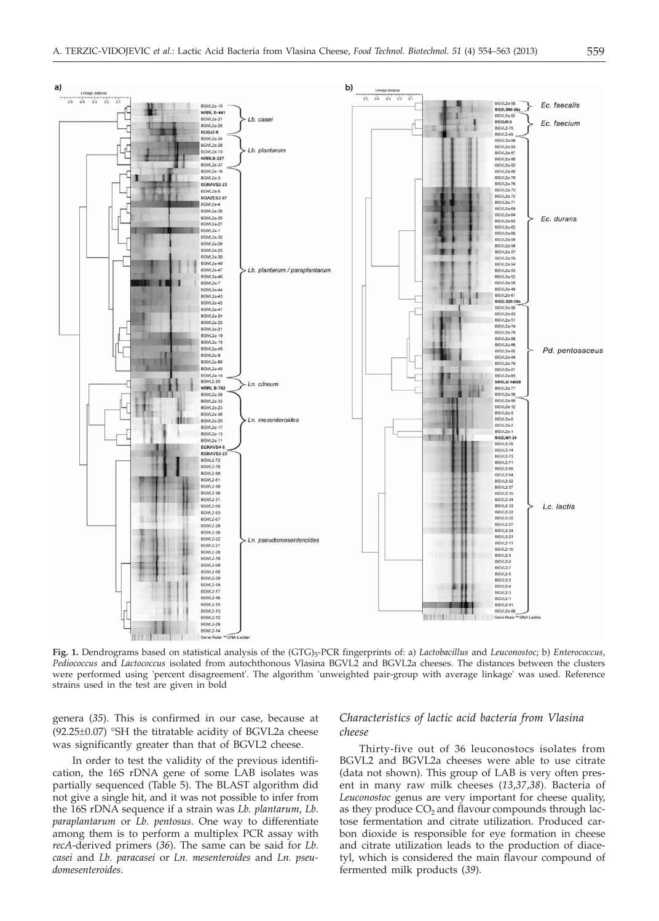

**Fig. 1.** Dendrograms based on statistical analysis of the (GTG)5-PCR fingerprints of: a) *Lactobacillus* and *Leuconostoc*; b) *Enterococcus*, *Pediococcus* and *Lactococcus* isolated from autochthonous Vlasina BGVL2 and BGVL2a cheeses. The distances between the clusters were performed using 'percent disagreement'. The algorithm 'unweighted pair-group with average linkage' was used. Reference strains used in the test are given in bold

genera (*35*). This is confirmed in our case, because at (92.25±0.07) °SH the titratable acidity of BGVL2a cheese was significantly greater than that of BGVL2 cheese.

In order to test the validity of the previous identification, the 16S rDNA gene of some LAB isolates was partially sequenced (Table 5). The BLAST algorithm did not give a single hit, and it was not possible to infer from the 16S rDNA sequence if a strain was *Lb. plantarum*, *Lb*. *paraplantarum* or *Lb. pentosus*. One way to differentiate among them is to perform a multiplex PCR assay with *recA*-derived primers (*36*). The same can be said for *Lb. casei* and *Lb. paracasei* or *Ln. mesenteroides* and *Ln. pseudomesenteroides*.

# *Characteristics of lactic acid bacteria from Vlasina cheese*

Thirty-five out of 36 leuconostocs isolates from BGVL2 and BGVL2a cheeses were able to use citrate (data not shown). This group of LAB is very often present in many raw milk cheeses (*13*,*37*,*38*). Bacteria of *Leuconostoc* genus are very important for cheese quality, as they produce  $CO<sub>2</sub>$  and flavour compounds through lactose fermentation and citrate utilization. Produced carbon dioxide is responsible for eye formation in cheese and citrate utilization leads to the production of diacetyl, which is considered the main flavour compound of fermented milk products (*39*).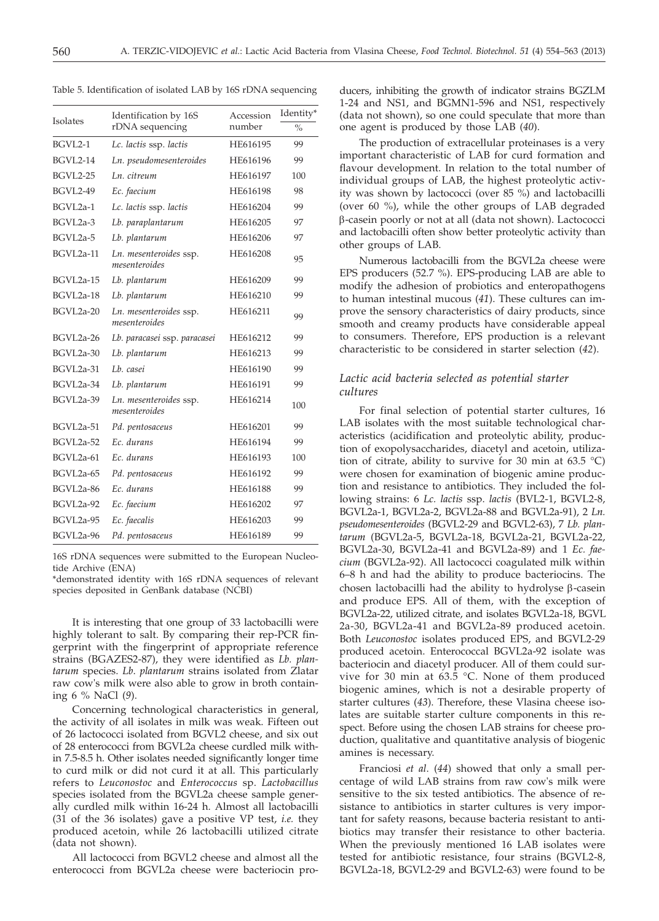|                  | Identification by 16S                   | Accession | Identity*     |
|------------------|-----------------------------------------|-----------|---------------|
| <b>Isolates</b>  | rDNA sequencing                         | number    | $\frac{0}{0}$ |
| BGVL2-1          | Lc. lactis ssp. lactis                  | HE616195  | 99            |
| <b>BGVL2-14</b>  | Ln. pseudomesenteroides                 | HE616196  | 99            |
| <b>BGVL2-25</b>  | Ln. citreum                             | HE616197  | 100           |
| <b>BGVL2-49</b>  | Ec. faecium                             | HE616198  | 98            |
| BGVL2a-1         | Lc. lactis ssp. lactis                  | HE616204  | 99            |
| BGVL2a-3         | Lb. paraplantarum                       | HE616205  | 97            |
| BGVL2a-5         | Lb. plantarum                           | HE616206  | 97            |
| BGVL2a-11        | Ln. mesenteroides ssp.<br>mesenteroides | HE616208  | 95            |
| BGVL2a-15        | Lb. plantarum                           | HE616209  | 99            |
| BGVL2a-18        | Lb. plantarum                           | HE616210  | 99            |
| BGVL2a-20        | Ln. mesenteroides ssp.<br>mesenteroides | HE616211  | 99            |
| BGVL2a-26        | Lb. paracasei ssp. paracasei            | HE616212  | 99            |
| BGVL2a-30        | Lb. plantarum                           | HE616213  | 99            |
| BGVL2a-31        | Lb. casei                               | HE616190  | 99            |
| <b>BGVL2a-34</b> | Lb. plantarum                           | HE616191  | 99            |
| BGVL2a-39        | Ln. mesenteroides ssp.<br>mesenteroides | HE616214  | 100           |
| BGVL2a-51        | Pd. pentosaceus                         | HE616201  | 99            |
| BGVL2a-52        | Ec. durans                              | HE616194  | 99            |
| BGVL2a-61        | Ec. durans                              | HE616193  | 100           |
| BGVL2a-65        | Pd. pentosaceus                         | HE616192  | 99            |
| BGVL2a-86        | Ec. durans                              | HE616188  | 99            |
| BGVL2a-92        | Ec. faecium                             | HE616202  | 97            |
| BGVL2a-95        | Ec. faecalis                            | HE616203  | 99            |
| BGVL2a-96        | Pd. pentosaceus                         | HE616189  | 99            |

Table 5. Identification of isolated LAB by 16S rDNA sequencing

16S rDNA sequences were submitted to the European Nucleotide Archive (ENA)

\*demonstrated identity with 16S rDNA sequences of relevant species deposited in GenBank database (NCBI)

It is interesting that one group of 33 lactobacilli were highly tolerant to salt. By comparing their rep-PCR fingerprint with the fingerprint of appropriate reference strains (BGAZES2-87), they were identified as *Lb. plantarum* species. *Lb*. *plantarum* strains isolated from Zlatar raw cow's milk were also able to grow in broth containing 6 % NaCl (*9*).

Concerning technological characteristics in general, the activity of all isolates in milk was weak. Fifteen out of 26 lactococci isolated from BGVL2 cheese, and six out of 28 enterococci from BGVL2a cheese curdled milk within 7.5-8.5 h. Other isolates needed significantly longer time to curd milk or did not curd it at all. This particularly refers to *Leuconostoc* and *Enterococcus* sp. *Lactobacillus* species isolated from the BGVL2a cheese sample generally curdled milk within 16-24 h. Almost all lactobacilli (31 of the 36 isolates) gave a positive VP test, *i.e.* they produced acetoin, while 26 lactobacilli utilized citrate (data not shown).

All lactococci from BGVL2 cheese and almost all the enterococci from BGVL2a cheese were bacteriocin pro-

ducers, inhibiting the growth of indicator strains BGZLM 1-24 and NS1, and BGMN1-596 and NS1, respectively (data not shown), so one could speculate that more than one agent is produced by those LAB (*40*).

The production of extracellular proteinases is a very important characteristic of LAB for curd formation and flavour development. In relation to the total number of individual groups of LAB, the highest proteolytic activity was shown by lactococci (over 85 %) and lactobacilli (over 60 %), while the other groups of LAB degraded b-casein poorly or not at all (data not shown). Lactococci and lactobacilli often show better proteolytic activity than other groups of LAB.

Numerous lactobacilli from the BGVL2a cheese were EPS producers (52.7 %). EPS-producing LAB are able to modify the adhesion of probiotics and enteropathogens to human intestinal mucous (*41*). These cultures can improve the sensory characteristics of dairy products, since smooth and creamy products have considerable appeal to consumers. Therefore, EPS production is a relevant characteristic to be considered in starter selection (*42*).

# *Lactic acid bacteria selected as potential starter cultures*

For final selection of potential starter cultures, 16 LAB isolates with the most suitable technological characteristics (acidification and proteolytic ability, production of exopolysaccharides, diacetyl and acetoin, utilization of citrate, ability to survive for 30 min at 63.5  $^{\circ}$ C) were chosen for examination of biogenic amine production and resistance to antibiotics. They included the following strains: 6 *Lc. lactis* ssp. *lactis* (BVL2-1, BGVL2-8, BGVL2a-1, BGVL2a-2, BGVL2a-88 and BGVL2a-91), 2 *Ln. pseudomesenteroides* (BGVL2-29 and BGVL2-63), 7 *Lb. plantarum* (BGVL2a-5, BGVL2a-18, BGVL2a-21, BGVL2a-22, BGVL2a-30, BGVL2a-41 and BGVL2a-89) and 1 *Ec. faecium* (BGVL2a-92). All lactococci coagulated milk within 6–8 h and had the ability to produce bacteriocins. The chosen lactobacilli had the ability to hydrolyse  $\beta$ -casein and produce EPS. All of them, with the exception of BGVL2a-22, utilized citrate, and isolates BGVL2a-18, BGVL 2a-30, BGVL2a-41 and BGVL2a-89 produced acetoin. Both *Leuconostoc* isolates produced EPS, and BGVL2-29 produced acetoin. Enterococcal BGVL2a-92 isolate was bacteriocin and diacetyl producer. All of them could survive for 30 min at 63.5 °C. None of them produced biogenic amines, which is not a desirable property of starter cultures (*43*). Therefore, these Vlasina cheese isolates are suitable starter culture components in this respect. Before using the chosen LAB strains for cheese production, qualitative and quantitative analysis of biogenic amines is necessary.

Franciosi *et al*. (*44*) showed that only a small percentage of wild LAB strains from raw cow's milk were sensitive to the six tested antibiotics. The absence of resistance to antibiotics in starter cultures is very important for safety reasons, because bacteria resistant to antibiotics may transfer their resistance to other bacteria. When the previously mentioned 16 LAB isolates were tested for antibiotic resistance, four strains (BGVL2-8, BGVL2a-18, BGVL2-29 and BGVL2-63) were found to be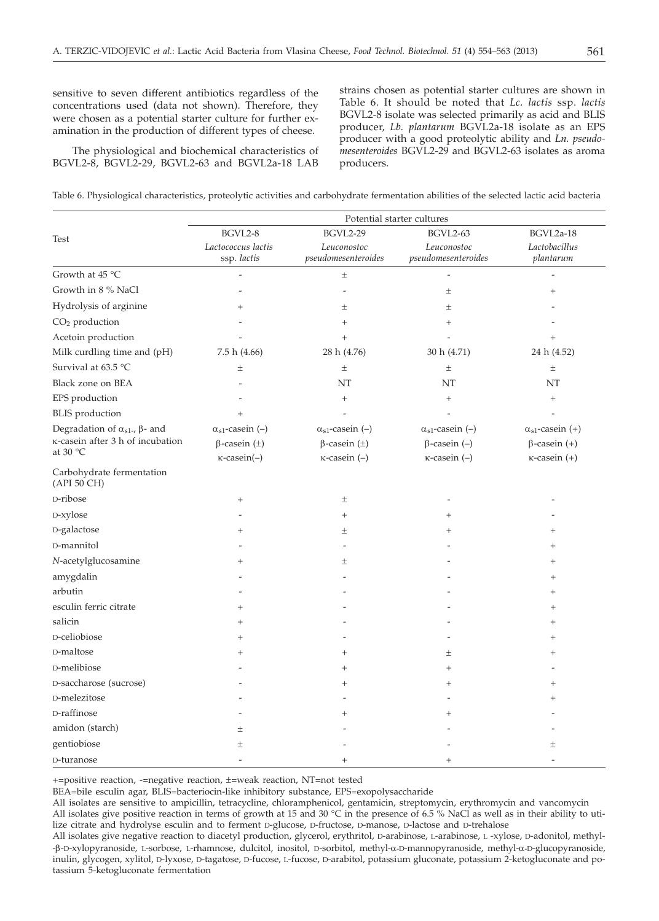sensitive to seven different antibiotics regardless of the concentrations used (data not shown). Therefore, they were chosen as a potential starter culture for further examination in the production of different types of cheese.

The physiological and biochemical characteristics of BGVL2-8, BGVL2-29, BGVL2-63 and BGVL2a-18 LAB strains chosen as potential starter cultures are shown in Table 6. It should be noted that *Lc. lactis* ssp. *lactis* BGVL2-8 isolate was selected primarily as acid and BLIS producer, *Lb. plantarum* BGVL2a-18 isolate as an EPS producer with a good proteolytic ability and *Ln. pseudomesenteroides* BGVL2-29 and BGVL2-63 isolates as aroma producers.

|  |  | Table 6. Physiological characteristics, proteolytic activities and carbohydrate fermentation abilities of the selected lactic acid bacteria |
|--|--|---------------------------------------------------------------------------------------------------------------------------------------------|
|  |  |                                                                                                                                             |

|                                               | Potential starter cultures        |                                    |                                    |                            |  |  |
|-----------------------------------------------|-----------------------------------|------------------------------------|------------------------------------|----------------------------|--|--|
| Test                                          | BGVL2-8                           | <b>BGVL2-29</b>                    | <b>BGVL2-63</b>                    | BGVL2a-18                  |  |  |
|                                               | Lactococcus lactis<br>ssp. lactis | Leuconostoc<br>pseudomesenteroides | Leuconostoc<br>pseudomesenteroides | Lactobacillus<br>plantarum |  |  |
| Growth at 45 °C                               |                                   | $\pm$                              |                                    |                            |  |  |
| Growth in 8 % NaCl                            |                                   |                                    | $\pm$                              | $^{+}$                     |  |  |
| Hydrolysis of arginine                        | $^{+}$                            | $\pm$                              | $\pm$                              |                            |  |  |
| CO <sub>2</sub> production                    |                                   | $^{+}$                             | $^{+}$                             |                            |  |  |
| Acetoin production                            |                                   | $^{+}$                             |                                    | $^{+}$                     |  |  |
| Milk curdling time and (pH)                   | 7.5 h(4.66)                       | 28 h (4.76)                        | 30 h (4.71)                        | 24 h (4.52)                |  |  |
| Survival at 63.5 °C                           | $\pm$                             | $\pm$                              | $\pm$                              | $\pm$                      |  |  |
| Black zone on BEA                             |                                   | NT                                 | NT                                 | NT                         |  |  |
| EPS production                                |                                   | $+$                                | $^{+}$                             | $\! + \!\!\!\!$            |  |  |
| <b>BLIS</b> production                        | $+$                               |                                    |                                    |                            |  |  |
| Degradation of $\alpha_{s1}$ -, $\beta$ - and | $\alpha_{s1}$ -casein (–)         | $\alpha_{s1}$ -casein (–)          | $\alpha_{s1}$ -casein (-)          | $\alpha_{s1}$ -casein (+)  |  |  |
| κ-casein after 3 h of incubation              | $\beta$ -casein ( $\pm$ )         | $\beta$ -casein ( $\pm$ )          | $\beta$ -casein $(-)$              | $\beta$ -casein $(+)$      |  |  |
| at $30 °C$                                    | $\kappa$ -casein(-)               | $\kappa$ -casein $(-)$             | $\kappa$ -casein $(-)$             | $\kappa$ -casein $(+)$     |  |  |
| Carbohydrate fermentation<br>(API 50 CH)      |                                   |                                    |                                    |                            |  |  |
| D-ribose                                      | $\! + \!\!\!\!$                   | $\pm$                              |                                    |                            |  |  |
| D-xylose                                      |                                   | $^{+}$                             | $^{+}$                             |                            |  |  |
| D-galactose                                   |                                   | $\pm$                              | $^{+}$                             |                            |  |  |
| D-mannitol                                    |                                   |                                    |                                    | $^{+}$                     |  |  |
| N-acetylglucosamine                           | $^{+}$                            | $\pm$                              |                                    | +                          |  |  |
| amygdalin                                     |                                   |                                    |                                    | ┿                          |  |  |
| arbutin                                       |                                   |                                    |                                    | $^{+}$                     |  |  |
| esculin ferric citrate                        | $^{+}$                            |                                    |                                    | $^{+}$                     |  |  |
| salicin                                       | $^{+}$                            |                                    |                                    | $^{+}$                     |  |  |
| D-celiobiose                                  | $^{+}$                            |                                    |                                    | $^{+}$                     |  |  |
| D-maltose                                     | $\overline{+}$                    | $^{+}$                             | Ŧ                                  | $^+$                       |  |  |
| D-melibiose                                   |                                   | $^{+}$                             | $^{+}$                             |                            |  |  |
| D-saccharose (sucrose)                        |                                   | $^{+}$                             | $^{+}$                             | $\ddot{}$                  |  |  |
| D-melezitose                                  |                                   |                                    |                                    | $^{+}$                     |  |  |
| D-raffinose                                   |                                   | $\ddot{}$                          | $^{+}$                             |                            |  |  |
| amidon (starch)                               | $\pm$                             |                                    |                                    |                            |  |  |
| gentiobiose                                   | 土                                 |                                    |                                    | 土                          |  |  |
| D-turanose                                    |                                   |                                    | $^{+}$                             |                            |  |  |

+=positive reaction, -=negative reaction, ±=weak reaction, NT=not tested

BEA=bile esculin agar, BLIS=bacteriocin-like inhibitory substance, EPS=exopolysaccharide

All isolates are sensitive to ampicillin, tetracycline, chloramphenicol, gentamicin, streptomycin, erythromycin and vancomycin

All isolates give positive reaction in terms of growth at 15 and 30  $^{\circ}$ C in the presence of 6.5 % NaCl as well as in their ability to utilize citrate and hydrolyse esculin and to ferment D-glucose, D-fructose, D-manose, D-lactose and D-trehalose

All isolates give negative reaction to diacetyl production, glycerol, erythritol, D-arabinose, L-arabinose, L -xylose, D-adonitol, methyl- -b-D-xylopyranoside, L-sorbose, L-rhamnose, dulcitol, inositol, D-sorbitol, methyl-a-D-mannopyranoside, methyl-a-D-glucopyranoside, inulin, glycogen, xylitol, D-lyxose, D-tagatose, D-fucose, L-fucose, D-arabitol, potassium gluconate, potassium 2-ketogluconate and potassium 5-ketogluconate fermentation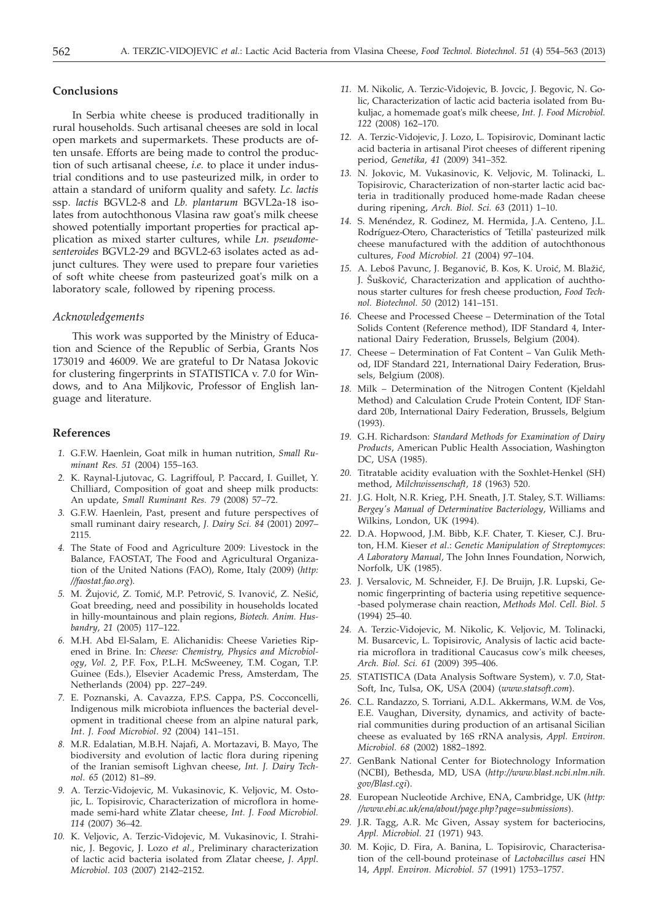## **Conclusions**

In Serbia white cheese is produced traditionally in rural households. Such artisanal cheeses are sold in local open markets and supermarkets. These products are often unsafe. Efforts are being made to control the production of such artisanal cheese, *i.e.* to place it under industrial conditions and to use pasteurized milk, in order to attain a standard of uniform quality and safety. *Lc. lactis* ssp. *lactis* BGVL2-8 and *Lb. plantarum* BGVL2a-18 isolates from autochthonous Vlasina raw goat's milk cheese showed potentially important properties for practical application as mixed starter cultures, while *Ln. pseudomesenteroides* BGVL2-29 and BGVL2-63 isolates acted as adjunct cultures. They were used to prepare four varieties of soft white cheese from pasteurized goat's milk on a laboratory scale, followed by ripening process.

#### *Acknowledgements*

This work was supported by the Ministry of Education and Science of the Republic of Serbia, Grants Nos 173019 and 46009. We are grateful to Dr Natasa Jokovic for clustering fingerprints in STATISTICA v. 7.0 for Windows, and to Ana Miljkovic, Professor of English language and literature.

## **References**

- *1.* G.F.W. Haenlein, Goat milk in human nutrition, *Small Ruminant Res. 51* (2004) 155–163.
- *2.* K. Raynal-Ljutovac, G. Lagriffoul, P. Paccard, I. Guillet, Y. Chilliard, Composition of goat and sheep milk products: An update, *Small Ruminant Res. 79* (2008) 57–72.
- *3.* G.F.W. Haenlein, Past, present and future perspectives of small ruminant dairy research, *J. Dairy Sci. 84* (2001) 2097– 2115.
- *4.* The State of Food and Agriculture 2009: Livestock in the Balance, FAOSTAT, The Food and Agricultural Organization of the United Nations (FAO), Rome, Italy (2009) (*http: //faostat.fao.org*)*.*
- 5. M. Žujović, Z. Tomić, M.P. Petrović, S. Ivanović, Z. Nešić, Goat breeding, need and possibility in households located in hilly-mountainous and plain regions, *Biotech. Anim. Husbandry*, *21* (2005) 117–122.
- *6.* M.H. Abd El-Salam, E. Alichanidis: Cheese Varieties Ripened in Brine. In: *Cheese: Chemistry, Physics and Microbiology*, *Vol. 2*, P.F. Fox, P.L.H. McSweeney, T.M. Cogan, T.P. Guinee (Eds.), Elsevier Academic Press, Amsterdam, The Netherlands (2004) pp. 227–249.
- *7.* E. Poznanski, A. Cavazza, F.P.S. Cappa, P.S. Cocconcelli, Indigenous milk microbiota influences the bacterial development in traditional cheese from an alpine natural park, *Int*. *J. Food Microbiol*. *92* (2004) 141–151.
- *8.* M.R. Edalatian, M.B.H. Najafi, A. Mortazavi, B. Mayo, The biodiversity and evolution of lactic flora during ripening of the Iranian semisoft Lighvan cheese, *Int. J. Dairy Technol*. *65* (2012) 81–89.
- *9.* A. Terzic-Vidojevic, M. Vukasinovic, K. Veljovic, M. Ostojic, L. Topisirovic, Characterization of microflora in homemade semi-hard white Zlatar cheese, *Int. J. Food Microbiol. 114* (2007) 36–42.
- *10.* K. Veljovic, A. Terzic-Vidojevic, M. Vukasinovic, I. Strahinic, J. Begovic, J. Lozo *et al*., Preliminary characterization of lactic acid bacteria isolated from Zlatar cheese, *J*. *Appl*. *Microbiol*. *103* (2007) 2142–2152.
- *11.* M. Nikolic, A. Terzic-Vidojevic, B. Jovcic, J. Begovic, N. Golic, Characterization of lactic acid bacteria isolated from Bukuljac, a homemade goat's milk cheese, *Int. J. Food Microbiol. 122* (2008) 162–170.
- *12.* A. Terzic-Vidojevic, J. Lozo, L. Topisirovic, Dominant lactic acid bacteria in artisanal Pirot cheeses of different ripening period, *Genetika*, *41* (2009) 341–352.
- *13.* N. Jokovic, M. Vukasinovic, K. Veljovic, M. Tolinacki, L. Topisirovic, Characterization of non-starter lactic acid bacteria in traditionally produced home-made Radan cheese during ripening, *Arch. Biol. Sci. 63* (2011) 1–10.
- *14.* S. Menéndez, R. Godinez, M. Hermida, J.A. Centeno, J.L. Rodríguez-Otero, Characteristics of 'Tetilla' pasteurized milk cheese manufactured with the addition of autochthonous cultures, *Food Microbiol. 21* (2004) 97–104.
- 15. A. Leboš Pavunc, J. Beganović, B. Kos, K. Uroić, M. Blažić, J. Šušković, Characterization and application of auchthonous starter cultures for fresh cheese production, *Food Technol. Biotechnol. 50* (2012) 141–151.
- *16.* Cheese and Processed Cheese Determination of the Total Solids Content (Reference method), IDF Standard 4, International Dairy Federation, Brussels, Belgium (2004).
- *17.* Cheese Determination of Fat Content Van Gulik Method, IDF Standard 221, International Dairy Federation, Brussels, Belgium (2008).
- *18.* Milk Determination of the Nitrogen Content (Kjeldahl Method) and Calculation Crude Protein Content, IDF Standard 20b, International Dairy Federation, Brussels, Belgium (1993).
- *19.* G.H. Richardson: *Standard Methods for Examination of Dairy Products*, American Public Health Association, Washington DC, USA (1985).
- *20.* Titratable acidity evaluation with the Soxhlet-Henkel (SH) method, *Milchwissenschaft, 18* (1963) 520.
- *21.* J.G. Holt, N.R. Krieg, P.H. Sneath, J.T. Staley, S.T. Williams: *Bergey's Manual of Determinative Bacteriology*, Williams and Wilkins, London, UK (1994).
- *22.* D.A. Hopwood, J.M. Bibb, K.F. Chater, T. Kieser, C.J. Bruton, H.M. Kieser *et al*.: *Genetic Manipulation of Streptomyces*: *A Laboratory Manual*, The John Innes Foundation, Norwich, Norfolk, UK (1985).
- *23.* J. Versalovic, M. Schneider, F.J. De Bruijn, J.R. Lupski, Genomic fingerprinting of bacteria using repetitive sequence- -based polymerase chain reaction, *Methods Mol. Cell. Biol. 5* (1994) 25–40.
- *24.* A. Terzic-Vidojevic, M. Nikolic, K. Veljovic, M. Tolinacki, M. Busarcevic, L. Topisirovic, Analysis of lactic acid bacteria microflora in traditional Caucasus cow's milk cheeses, *Arch. Biol. Sci. 61* (2009) 395–406.
- *25.* STATISTICA (Data Analysis Software System), v. 7.0, Stat-Soft, Inc, Tulsa, OK, USA (2004) (*www.statsoft.com*).
- *26.* C.L. Randazzo, S. Torriani, A.D.L. Akkermans, W.M. de Vos, E.E. Vaughan, Diversity, dynamics, and activity of bacterial communities during production of an artisanal Sicilian cheese as evaluated by 16S rRNA analysis, *Appl. Environ. Microbiol. 68* (2002) 1882–1892.
- *27.* GenBank National Center for Biotechnology Information (NCBI), Bethesda, MD, USA (*http://www.blast.ncbi.nlm.nih. gov/Blast.cgi*).
- *28.* European Nucleotide Archive, ENA, Cambridge, UK (*http: //www.ebi.ac.uk/ena/about/page.php?page=submissions*).
- *29.* J.R. Tagg, A.R. Mc Given, Assay system for bacteriocins, *Appl. Microbiol. 21* (1971) 943.
- *30.* M. Kojic, D. Fira, A. Banina, L. Topisirovic, Characterisation of the cell-bound proteinase of *Lactobacillus casei* HN 14, *Appl. Environ. Microbiol. 57* (1991) 1753–1757.